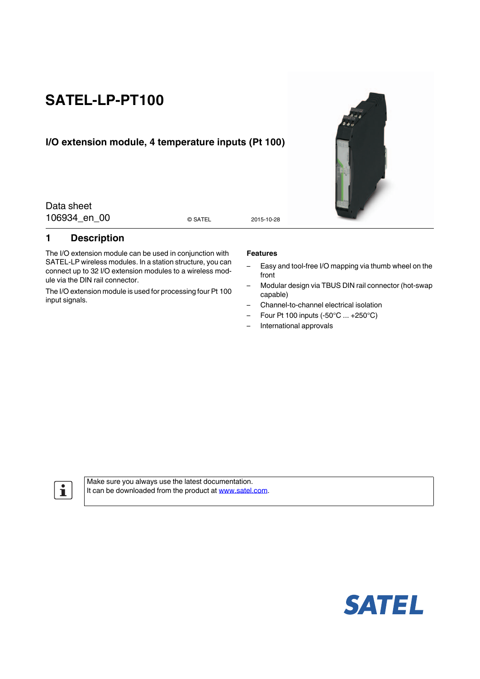# **SATEL-LP-PT100**

# **I/O extension module, 4 temperature inputs (Pt 100)**

Data sheet 106934 en 00 0 2015-10-28

© SATEL

### <span id="page-0-0"></span>**1 Description**

The I/O extension module can be used in conjunction with SATEL-LP wireless modules. In a station structure, you can connect up to 32 I/O extension modules to a wireless module via the DIN rail connector.

The I/O extension module is used for processing four Pt 100 input signals.

#### **Features**

- Easy and tool-free I/O mapping via thumb wheel on the front
- Modular design via TBUS DIN rail connector (hot-swap capable)
- Channel-to-channel electrical isolation
- Four Pt 100 inputs (-50°C ... +250°C)
- International approvals

 $\mathbf{i}$ 

Make sure you always use the latest documentation. It can be downloaded from the product at www.satel.com.



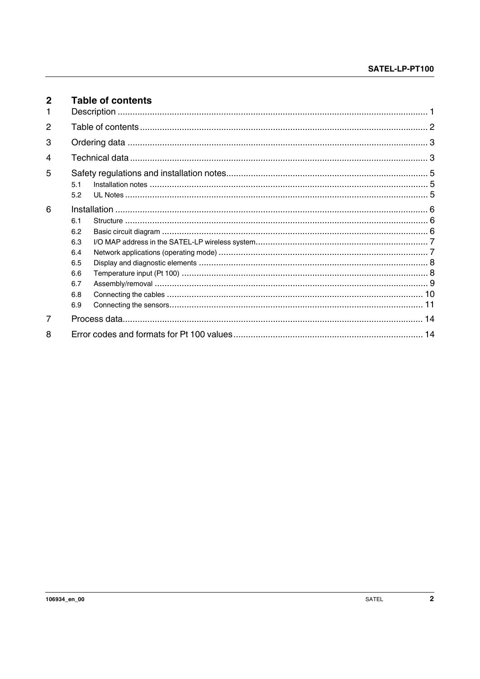<span id="page-1-0"></span>

| $\mathbf{2}$<br>1. |            | <b>Table of contents</b> |  |
|--------------------|------------|--------------------------|--|
| 2                  |            |                          |  |
| 3                  |            |                          |  |
| 4                  |            |                          |  |
| 5                  |            |                          |  |
|                    | 5.1<br>5.2 |                          |  |
| 6                  |            |                          |  |
|                    | 6.1        |                          |  |
|                    | 6.2<br>6.3 |                          |  |
|                    | 6.4        |                          |  |
|                    | 6.5        |                          |  |
|                    | 6.6        |                          |  |
|                    | 6.7        |                          |  |
|                    | 6.8        |                          |  |
|                    | 6.9        |                          |  |
| 7                  |            |                          |  |
| 8                  |            |                          |  |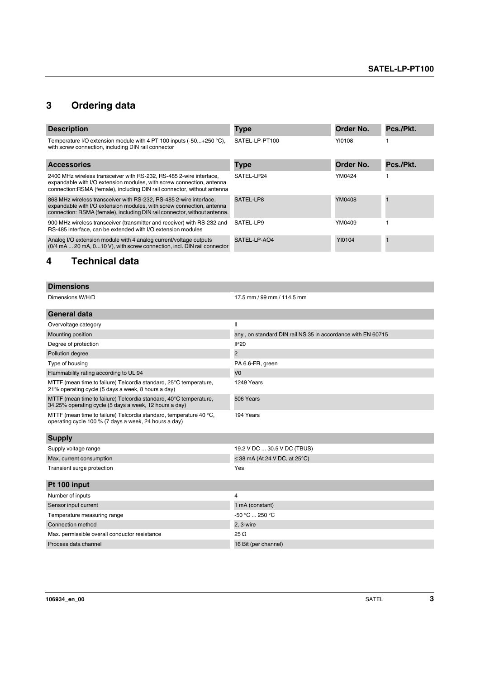# <span id="page-2-0"></span>**3 Ordering data**

| <b>Description</b>                                                                                                                                                                                                       | <b>Type</b>    | Order No. | Pcs./Pkt. |
|--------------------------------------------------------------------------------------------------------------------------------------------------------------------------------------------------------------------------|----------------|-----------|-----------|
| Temperature I/O extension module with 4 PT 100 inputs $(-50+250^{\circ}C)$ ,<br>with screw connection, including DIN rail connector                                                                                      | SATEL-LP-PT100 | YI0108    |           |
| <b>Accessories</b>                                                                                                                                                                                                       | <b>Type</b>    | Order No. | Pcs./Pkt. |
| 2400 MHz wireless transceiver with RS-232, RS-485 2-wire interface,<br>expandable with I/O extension modules, with screw connection, antenna<br>connection: RSMA (female), including DIN rail connector, without antenna | SATEL-LP24     | YM0424    |           |
| 868 MHz wireless transceiver with RS-232, RS-485 2-wire interface,<br>expandable with I/O extension modules, with screw connection, antenna<br>connection: RSMA (female), including DIN rail connector, without antenna. | SATEL-LP8      | YM0408    |           |
| 900 MHz wireless transceiver (transmitter and receiver) with RS-232 and<br>RS-485 interface, can be extended with I/O extension modules                                                                                  | SATEL-LP9      | YM0409    |           |
| Analog I/O extension module with 4 analog current/voltage outputs<br>(0/4 mA  20 mA, 0 10 V), with screw connection, incl. DIN rail connector                                                                            | SATEL-LP-AO4   | YI0104    |           |

# <span id="page-2-1"></span>**4 Technical data**

| <b>Dimensions</b>                                                                                                           |                                                             |  |  |
|-----------------------------------------------------------------------------------------------------------------------------|-------------------------------------------------------------|--|--|
| Dimensions W/H/D                                                                                                            | 17.5 mm / 99 mm / 114.5 mm                                  |  |  |
| <b>General data</b>                                                                                                         |                                                             |  |  |
| Overvoltage category                                                                                                        | $\mathbf{I}$                                                |  |  |
| Mounting position                                                                                                           | any, on standard DIN rail NS 35 in accordance with EN 60715 |  |  |
| Degree of protection                                                                                                        | <b>IP20</b>                                                 |  |  |
| Pollution degree                                                                                                            | $\overline{\mathbf{c}}$                                     |  |  |
| Type of housing                                                                                                             | PA 6.6-FR, green                                            |  |  |
| Flammability rating according to UL 94                                                                                      | V <sub>0</sub>                                              |  |  |
| MTTF (mean time to failure) Telcordia standard, 25°C temperature,<br>21% operating cycle (5 days a week, 8 hours a day)     | 1249 Years                                                  |  |  |
| MTTF (mean time to failure) Telcordia standard, 40°C temperature,<br>34.25% operating cycle (5 days a week, 12 hours a day) | 506 Years                                                   |  |  |
| MTTF (mean time to failure) Telcordia standard, temperature 40 °C,<br>operating cycle 100 % (7 days a week, 24 hours a day) | 194 Years                                                   |  |  |
| <b>Supply</b>                                                                                                               |                                                             |  |  |
| Supply voltage range                                                                                                        | 19.2 V DC  30.5 V DC (TBUS)                                 |  |  |
| Max. current consumption                                                                                                    | $\leq$ 38 mA (At 24 V DC, at 25°C)                          |  |  |
| Transient surge protection                                                                                                  | Yes                                                         |  |  |
| Pt 100 input                                                                                                                |                                                             |  |  |
| Number of inputs                                                                                                            | 4                                                           |  |  |
| Sensor input current                                                                                                        | 1 mA (constant)                                             |  |  |
| Temperature measuring range                                                                                                 | -50 °C  250 °C                                              |  |  |
| Connection method                                                                                                           | 2, 3-wire                                                   |  |  |
| Max. permissible overall conductor resistance                                                                               | $25 \Omega$                                                 |  |  |
| Process data channel                                                                                                        | 16 Bit (per channel)                                        |  |  |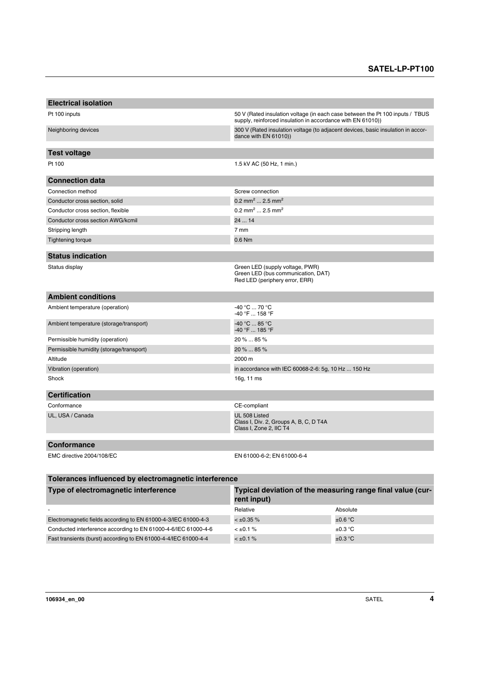| <b>Electrical isolation</b>                           |                                                                                                                                              |  |  |
|-------------------------------------------------------|----------------------------------------------------------------------------------------------------------------------------------------------|--|--|
| Pt 100 inputs                                         | 50 V (Rated insulation voltage (in each case between the Pt 100 inputs / TBUS<br>supply, reinforced insulation in accordance with EN 61010)) |  |  |
| Neighboring devices                                   | 300 V (Rated insulation voltage (to adjacent devices, basic insulation in accor-<br>dance with EN 61010))                                    |  |  |
| <b>Test voltage</b>                                   |                                                                                                                                              |  |  |
| Pt 100                                                | 1.5 kV AC (50 Hz, 1 min.)                                                                                                                    |  |  |
| <b>Connection data</b>                                |                                                                                                                                              |  |  |
| Connection method                                     | Screw connection                                                                                                                             |  |  |
| Conductor cross section, solid                        | 0.2 mm <sup>2</sup> 2.5 mm <sup>2</sup>                                                                                                      |  |  |
| Conductor cross section, flexible                     | 0.2 mm <sup>2</sup> 2.5 mm <sup>2</sup>                                                                                                      |  |  |
| Conductor cross section AWG/kcmil                     | 24  14                                                                                                                                       |  |  |
| Stripping length                                      | 7 mm                                                                                                                                         |  |  |
| <b>Tightening torque</b>                              | $0.6$ Nm                                                                                                                                     |  |  |
|                                                       |                                                                                                                                              |  |  |
| <b>Status indication</b>                              |                                                                                                                                              |  |  |
| Status display                                        | Green LED (supply voltage, PWR)<br>Green LED (bus communication, DAT)<br>Red LED (periphery error, ERR)                                      |  |  |
| <b>Ambient conditions</b>                             |                                                                                                                                              |  |  |
| Ambient temperature (operation)                       | -40 °C  70 °C<br>$-40$ °F $$ 158 °F                                                                                                          |  |  |
| Ambient temperature (storage/transport)               | -40 °C  85 °C<br>-40 °F  185 °F                                                                                                              |  |  |
| Permissible humidity (operation)                      | 20 %  85 %                                                                                                                                   |  |  |
| Permissible humidity (storage/transport)              | 20 %  85 %                                                                                                                                   |  |  |
| Altitude                                              | 2000 m                                                                                                                                       |  |  |
| Vibration (operation)                                 | in accordance with IEC 60068-2-6: 5g, 10 Hz  150 Hz                                                                                          |  |  |
| Shock                                                 | 16g, 11 ms                                                                                                                                   |  |  |
| <b>Certification</b>                                  |                                                                                                                                              |  |  |
| Conformance                                           | CE-compliant                                                                                                                                 |  |  |
| UL, USA / Canada                                      | UL 508 Listed<br>Class I, Div. 2, Groups A, B, C, D T4A<br>Class I, Zone 2, IIC T4                                                           |  |  |
| <b>Conformance</b>                                    |                                                                                                                                              |  |  |
| EMC directive 2004/108/EC                             | EN 61000-6-2; EN 61000-6-4                                                                                                                   |  |  |
| Tolerances influenced by electromagnetic interference |                                                                                                                                              |  |  |
| Type of electromagnetic interference                  | Typical deviation of the measuring range final value (cur-                                                                                   |  |  |

|                                                                 | rent input)     |                     |
|-----------------------------------------------------------------|-----------------|---------------------|
| $\overline{\phantom{a}}$                                        | Relative        | Absolute            |
| Electromagnetic fields according to EN 61000-4-3/IEC 61000-4-3  | $< \pm 0.35 \%$ | $\pm 0.6^{\circ}$ C |
| Conducted interference according to EN 61000-4-6/IEC 61000-4-6  | $< \pm 0.1 \%$  | $\pm 0.3$ °C        |
| Fast transients (burst) according to EN 61000-4-4/IEC 61000-4-4 | $< \pm 0.1 \%$  | $\pm 0.3$ °C        |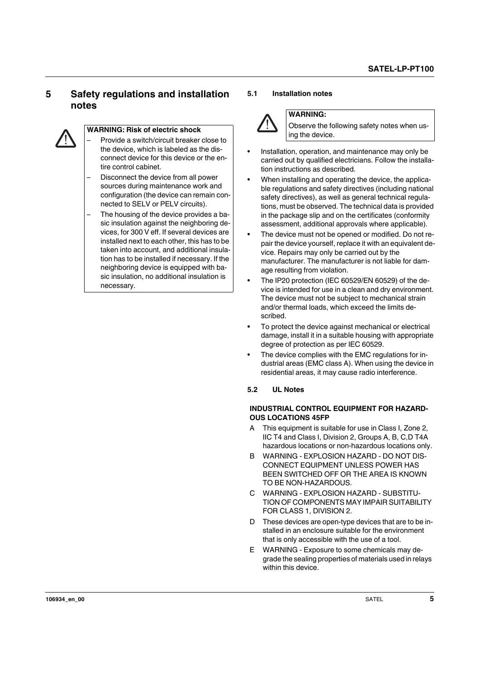# <span id="page-4-0"></span>**5 Safety regulations and installation notes**



### **WARNING: Risk of electric shock**

– Provide a switch/circuit breaker close to the device, which is labeled as the disconnect device for this device or the entire control cabinet.

- Disconnect the device from all power sources during maintenance work and configuration (the device can remain connected to SELV or PELV circuits).
- The housing of the device provides a basic insulation against the neighboring devices, for 300 V eff. If several devices are installed next to each other, this has to be taken into account, and additional insulation has to be installed if necessary. If the neighboring device is equipped with basic insulation, no additional insulation is necessary.

#### <span id="page-4-1"></span>**5.1 Installation notes**



#### **WARNING:**

Observe the following safety notes when using the device.

- **•** Installation, operation, and maintenance may only be carried out by qualified electricians. Follow the installation instructions as described.
- **•** When installing and operating the device, the applicable regulations and safety directives (including national safety directives), as well as general technical regulations, must be observed. The technical data is provided in the package slip and on the certificates (conformity assessment, additional approvals where applicable).
- **•** The device must not be opened or modified. Do not repair the device yourself, replace it with an equivalent device. Repairs may only be carried out by the manufacturer. The manufacturer is not liable for damage resulting from violation.
- **•** The IP20 protection (IEC 60529/EN 60529) of the device is intended for use in a clean and dry environment. The device must not be subject to mechanical strain and/or thermal loads, which exceed the limits described.
- **•** To protect the device against mechanical or electrical damage, install it in a suitable housing with appropriate degree of protection as per IEC 60529.
- **•** The device complies with the EMC regulations for industrial areas (EMC class A). When using the device in residential areas, it may cause radio interference.

#### <span id="page-4-2"></span>**5.2 UL Notes**

#### **INDUSTRIAL CONTROL EQUIPMENT FOR HAZARD-OUS LOCATIONS 45FP**

- A This equipment is suitable for use in Class I, Zone 2, IIC T4 and Class I, Division 2, Groups A, B, C,D T4A hazardous locations or non-hazardous locations only.
- B WARNING EXPLOSION HAZARD DO NOT DIS-CONNECT EQUIPMENT UNLESS POWER HAS BEEN SWITCHED OFF OR THE AREA IS KNOWN TO BE NON-HAZARDOUS.
- C WARNING EXPLOSION HAZARD SUBSTITU-TION OF COMPONENTS MAY IMPAIR SUITABILITY FOR CLASS 1, DIVISION 2.
- D These devices are open-type devices that are to be installed in an enclosure suitable for the environment that is only accessible with the use of a tool.
- E WARNING Exposure to some chemicals may degrade the sealing properties of materials used in relays within this device.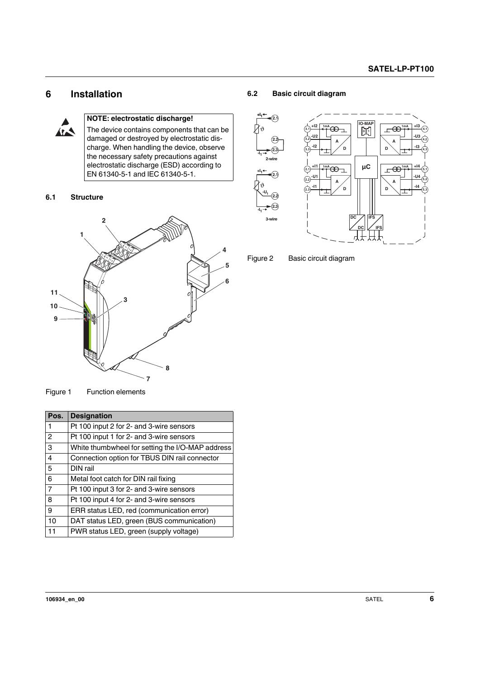# <span id="page-5-0"></span>**6 Installation**



## **NOTE: electrostatic discharge!**

The device contains components that can be damaged or destroyed by electrostatic discharge. When handling the device, observe the necessary safety precautions against electrostatic discharge (ESD) according to EN 61340-5-1 and IEC 61340-5-1.

#### <span id="page-5-1"></span>**6.1 Structure**



#### <span id="page-5-2"></span>**6.2 Basic circuit diagram**





Figure 1 Function elements

| 9<br><b>PARTICIPS</b><br>8 |                                                  |  |  |  |
|----------------------------|--------------------------------------------------|--|--|--|
|                            | Figure 1 Function elements                       |  |  |  |
| Pos.                       | <b>Designation</b>                               |  |  |  |
| $\mathbf{1}$               | Pt 100 input 2 for 2- and 3-wire sensors         |  |  |  |
| $\overline{c}$             | Pt 100 input 1 for 2- and 3-wire sensors         |  |  |  |
| 3                          | White thumbwheel for setting the I/O-MAP address |  |  |  |
| 4                          | Connection option for TBUS DIN rail connector    |  |  |  |
| 5                          | DIN rail                                         |  |  |  |
| 6                          | Metal foot catch for DIN rail fixing             |  |  |  |
| $\overline{7}$             | Pt 100 input 3 for 2- and 3-wire sensors         |  |  |  |
| 8                          | Pt 100 input 4 for 2- and 3-wire sensors         |  |  |  |
| 9                          | ERR status LED, red (communication error)        |  |  |  |
| 10                         | DAT status LED, green (BUS communication)        |  |  |  |
| 11                         | PWR status LED, green (supply voltage)           |  |  |  |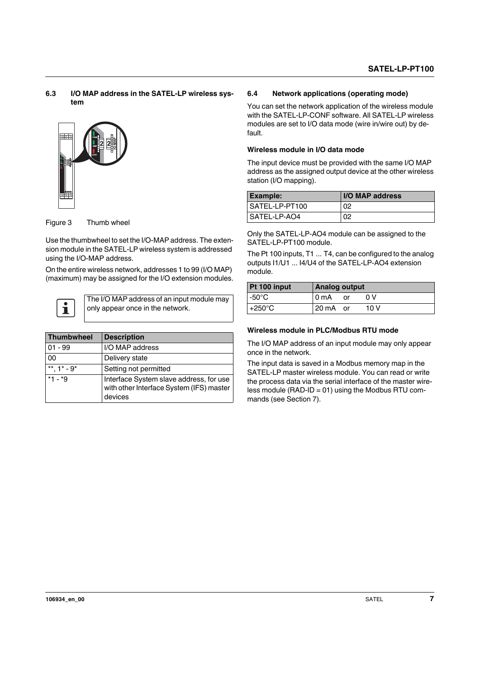#### <span id="page-6-0"></span>**6.3 I/O MAP address in the SATEL-LP wireless system**



Figure 3 Thumb wheel

Use the thumbwheel to set the I/O-MAP address. The extension module in the SATEL-LP wireless system is addressed using the I/O-MAP address.

On the entire wireless network, addresses 1 to 99 (I/O MAP) (maximum) may be assigned for the I/O extension modules.



The I/O MAP address of an input module may only appear once in the network.

| Thumbwheel    | <b>Description</b>                                                                             |  |
|---------------|------------------------------------------------------------------------------------------------|--|
| $01 - 99$     | I/O MAP address                                                                                |  |
| 00            | Delivery state                                                                                 |  |
| **. $1* - 9*$ | Setting not permitted                                                                          |  |
| $*1 - *9$     | Interface System slave address, for use<br>with other Interface System (IFS) master<br>devices |  |

#### <span id="page-6-1"></span>**6.4 Network applications (operating mode)**

You can set the network application of the wireless module with the SATEL-LP-CONF software. All SATEL-LP wireless modules are set to I/O data mode (wire in/wire out) by default.

#### **Wireless module in I/O data mode**

The input device must be provided with the same I/O MAP address as the assigned output device at the other wireless station (I/O mapping).

| <b>Example:</b> | <b>I/O MAP address</b> |
|-----------------|------------------------|
| SATEL-LP-PT100  | 02                     |
| I SATEL-LP-AO4  | 02                     |

Only the SATEL-LP-AO4 module can be assigned to the SATEL-LP-PT100 module.

The Pt 100 inputs, T1 ... T4, can be configured to the analog outputs I1/U1 ... I4/U4 of the SATEL-LP-AO4 extension module.

| Pt 100 input     | <b>Analog output</b> |    |      |
|------------------|----------------------|----|------|
| -50°C $\,$       | 0 <sub>m</sub> A     | or | 0 V  |
| $+250^{\circ}$ C | 20 mA or             |    | 10 V |

#### **Wireless module in PLC/Modbus RTU mode**

The I/O MAP address of an input module may only appear once in the network.

The input data is saved in a Modbus memory map in the SATEL-LP master wireless module. You can read or write the process data via the serial interface of the master wireless module (RAD-ID = 01) using the Modbus RTU commands (see Section 7).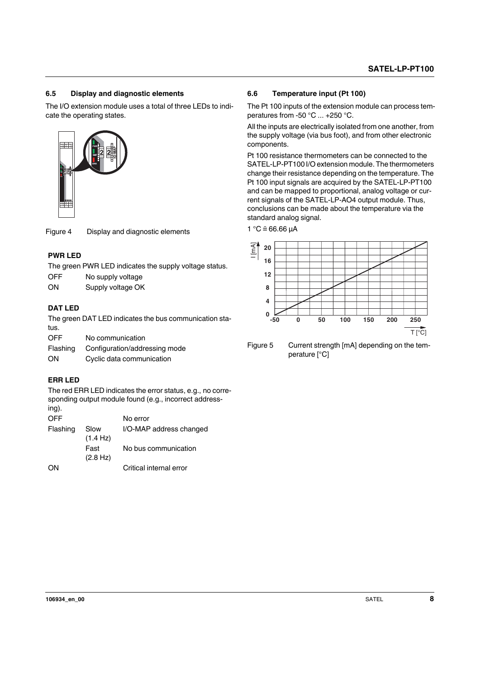#### <span id="page-7-0"></span>**6.5 Display and diagnostic elements**

The I/O extension module uses a total of three LEDs to indicate the operating states.



Figure 4 Display and diagnostic elements

### **PWR LED**

The green PWR LED indicates the supply voltage status.

| OFF | No supply voltage |
|-----|-------------------|
|-----|-------------------|

ON Supply voltage OK

### **DAT LED**

The green DAT LED indicates the bus communication status. OFF No communication

| UFF      | <u>NO COMMUNICATION</u>       |
|----------|-------------------------------|
| Flashing | Configuration/addressing mode |

ON Cyclic data communication

### **ERR LED**

The red ERR LED indicates the error status, e.g., no corresponding output module found (e.g., incorrect addressing).

| <b>OFF</b> |                  | No error                |
|------------|------------------|-------------------------|
| Flashing   | Slow<br>(1.4 Hz) | I/O-MAP address changed |
|            | Fast<br>(2.8 Hz) | No bus communication    |
| ON         |                  | Critical internal error |

#### <span id="page-7-1"></span>**6.6 Temperature input (Pt 100)**

The Pt 100 inputs of the extension module can process temperatures from -50 °C ... +250 °C.

All the inputs are electrically isolated from one another, from the supply voltage (via bus foot), and from other electronic components.

Pt 100 resistance thermometers can be connected to the SATEL-LP-PT100 I/O extension module. The thermometers change their resistance depending on the temperature. The Pt 100 input signals are acquired by the SATEL-LP-PT100 and can be mapped to proportional, analog voltage or current signals of the SATEL-LP-AO4 output module. Thus, conclusions can be made about the temperature via the standard analog signal.

 $1 °C \hat{=} 66.66 \mu A$ 



Figure 5 Current strength [mA] depending on the temperature [°C]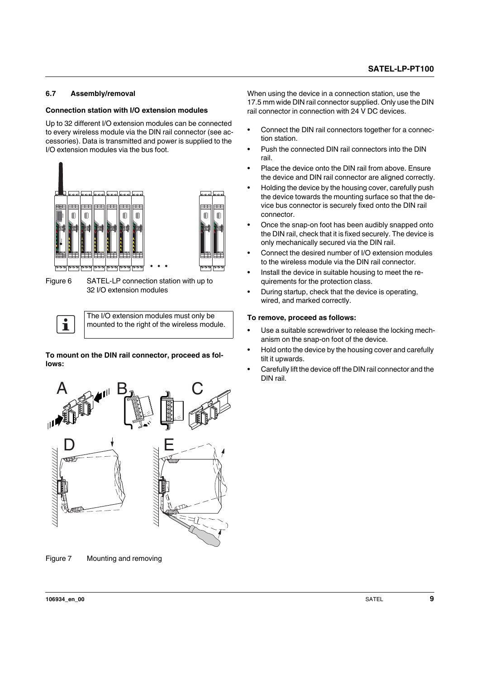### <span id="page-8-0"></span>**6.7 Assembly/removal**

#### **Connection station with I/O extension modules**

Up to 32 different I/O extension modules can be connected to every wireless module via the DIN rail connector (see accessories). Data is transmitted and power is supplied to the I/O extension modules via the bus foot.



Figure 6 SATEL-LP connection station with up to 32 I/O extension modules

The I/O extension modules must only be mounted to the right of the wireless module.

**To mount on the DIN rail connector, proceed as follows:**



Figure 7 Mounting and removing

When using the device in a connection station, use the 17.5 mm wide DIN rail connector supplied. Only use the DIN rail connector in connection with 24 V DC devices.

- **•** Connect the DIN rail connectors together for a connection station.
- **•** Push the connected DIN rail connectors into the DIN rail.
- **•** Place the device onto the DIN rail from above. Ensure the device and DIN rail connector are aligned correctly.
- **•** Holding the device by the housing cover, carefully push the device towards the mounting surface so that the device bus connector is securely fixed onto the DIN rail connector.
- **•** Once the snap-on foot has been audibly snapped onto the DIN rail, check that it is fixed securely. The device is only mechanically secured via the DIN rail.
- **•** Connect the desired number of I/O extension modules to the wireless module via the DIN rail connector.
- **•** Install the device in suitable housing to meet the requirements for the protection class.
- **•** During startup, check that the device is operating, wired, and marked correctly.

#### **To remove, proceed as follows:**

- **•** Use a suitable screwdriver to release the locking mechanism on the snap-on foot of the device.
- **•** Hold onto the device by the housing cover and carefully tilt it upwards.
- **•** Carefully lift the device off the DIN rail connector and the DIN rail.

 $\mathbf{i}$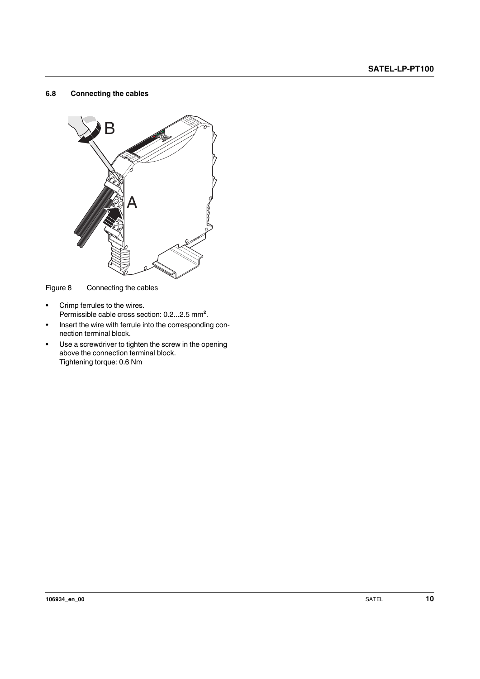#### <span id="page-9-0"></span>**6.8 Connecting the cables**



Figure 8 Connecting the cables

- **•** Crimp ferrules to the wires. Permissible cable cross section: 0.2...2.5 mm².
- **•** Insert the wire with ferrule into the corresponding connection terminal block.
- **•** Use a screwdriver to tighten the screw in the opening above the connection terminal block. Tightening torque: 0.6 Nm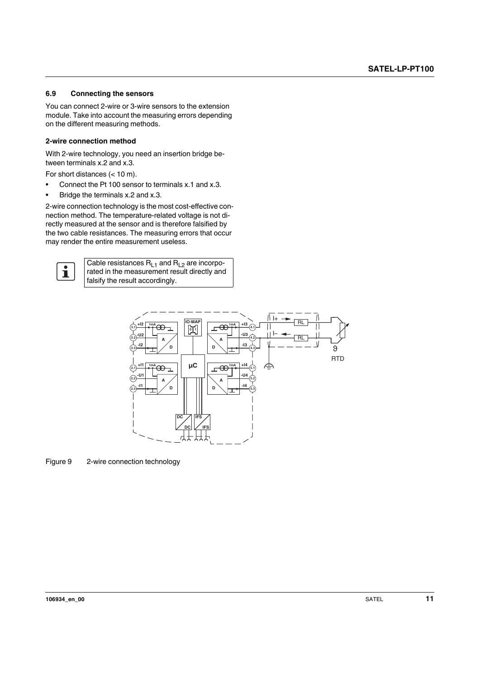#### <span id="page-10-0"></span>**6.9 Connecting the sensors**

You can connect 2-wire or 3-wire sensors to the extension module. Take into account the measuring errors depending on the different measuring methods.

#### **2-wire connection method**

With 2-wire technology, you need an insertion bridge between terminals x.2 and x.3.

For short distances (< 10 m).

- **•** Connect the Pt 100 sensor to terminals x.1 and x.3.
- **•** Bridge the terminals x.2 and x.3.

2-wire connection technology is the most cost-effective connection method. The temperature-related voltage is not directly measured at the sensor and is therefore falsified by the two cable resistances. The measuring errors that occur may render the entire measurement useless.



Cable resistances  $R_{L1}$  and  $R_{L2}$  are incorporated in the measurement result directly and falsify the result accordingly.



Figure 9 2-wire connection technology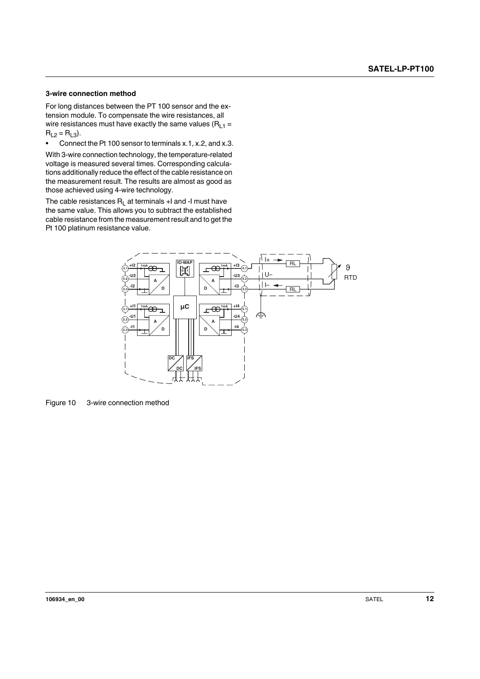#### **3-wire connection method**

For long distances between the PT 100 sensor and the extension module. To compensate the wire resistances, all wire resistances must have exactly the same values ( $R_{L1}$  =  $R_{L2} = R_{L3}$ .

**•** Connect the Pt 100 sensor to terminals x.1, x.2, and x.3.

With 3-wire connection technology, the temperature-related voltage is measured several times. Corresponding calculations additionally reduce the effect of the cable resistance on the measurement result. The results are almost as good as those achieved using 4-wire technology.

The cable resistances  $R_L$  at terminals +I and -I must have the same value. This allows you to subtract the established cable resistance from the measurement result and to get the Pt 100 platinum resistance value.



Figure 10 3-wire connection method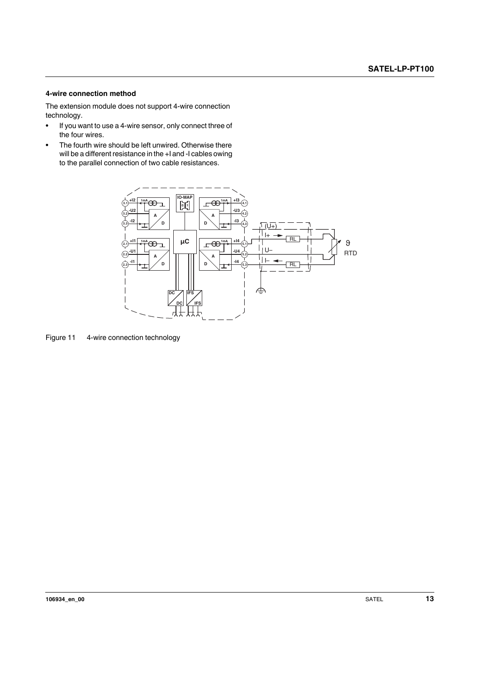#### **4-wire connection method**

The extension module does not support 4-wire connection technology.

- **•** If you want to use a 4-wire sensor, only connect three of the four wires.
- **•** The fourth wire should be left unwired. Otherwise there will be a different resistance in the +I and -I cables owing to the parallel connection of two cable resistances.



Figure 11 4-wire connection technology